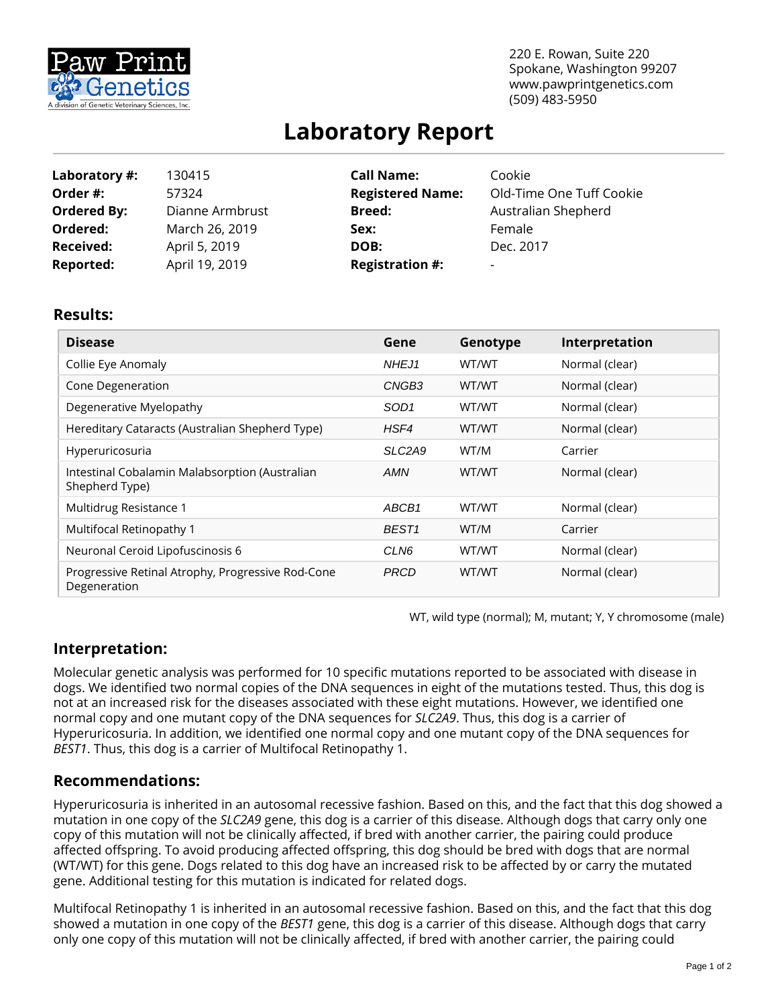

220 E. Rowan, Suite 220 Spokane, Washington 99207 www.pawprintgenetics.com (509) 483-5950

## **Laboratory Report**

| Laboratory #:      | 130415          | <b>Call Name:</b>       | Cookie                   |
|--------------------|-----------------|-------------------------|--------------------------|
| Order #:           | 57324           | <b>Registered Name:</b> | Old-Time One Tuff Cookie |
| <b>Ordered By:</b> | Dianne Armbrust | <b>Breed:</b>           | Australian Shepherd      |
| Ordered:           | March 26, 2019  | Sex:                    | Female                   |
| <b>Received:</b>   | April 5, 2019   | DOB:                    | Dec. 2017                |
| <b>Reported:</b>   | April 19, 2019  | <b>Registration #:</b>  | $\overline{\phantom{a}}$ |

## **Results:**

| <b>Disease</b>                                                    | Gene                | Genotype | Interpretation |
|-------------------------------------------------------------------|---------------------|----------|----------------|
| Collie Eye Anomaly                                                | NHEJ <sub>1</sub>   | WT/WT    | Normal (clear) |
| Cone Degeneration                                                 | CNGB <sub>3</sub>   | WT/WT    | Normal (clear) |
| Degenerative Myelopathy                                           | SOD <sub>1</sub>    | WT/WT    | Normal (clear) |
| Hereditary Cataracts (Australian Shepherd Type)                   | HSF4                | WT/WT    | Normal (clear) |
| Hyperuricosuria                                                   | SLC <sub>2</sub> A9 | WT/M     | Carrier        |
| Intestinal Cobalamin Malabsorption (Australian<br>Shepherd Type)  | <b>AMN</b>          | WT/WT    | Normal (clear) |
| Multidrug Resistance 1                                            | ABCB1               | WT/WT    | Normal (clear) |
| Multifocal Retinopathy 1                                          | BEST <sub>1</sub>   | WT/M     | Carrier        |
| Neuronal Ceroid Lipofuscinosis 6                                  | CLN6                | WT/WT    | Normal (clear) |
| Progressive Retinal Atrophy, Progressive Rod-Cone<br>Degeneration | <b>PRCD</b>         | WT/WT    | Normal (clear) |

WT, wild type (normal); M, mutant; Y, Y chromosome (male)

## **Interpretation:**

Molecular genetic analysis was performed for 10 specific mutations reported to be associated with disease in dogs. We identified two normal copies of the DNA sequences in eight of the mutations tested. Thus, this dog is not at an increased risk for the diseases associated with these eight mutations. However, we identified one normal copy and one mutant copy of the DNA sequences for *SLC2A9*. Thus, this dog is a carrier of Hyperuricosuria. In addition, we identified one normal copy and one mutant copy of the DNA sequences for *BEST1*. Thus, this dog is a carrier of Multifocal Retinopathy 1.

## **Recommendations:**

Hyperuricosuria is inherited in an autosomal recessive fashion. Based on this, and the fact that this dog showed a mutation in one copy of the *SLC2A9* gene, this dog is a carrier of this disease. Although dogs that carry only one copy of this mutation will not be clinically affected, if bred with another carrier, the pairing could produce affected offspring. To avoid producing affected offspring, this dog should be bred with dogs that are normal (WT/WT) for this gene. Dogs related to this dog have an increased risk to be affected by or carry the mutated gene. Additional testing for this mutation is indicated for related dogs.

Multifocal Retinopathy 1 is inherited in an autosomal recessive fashion. Based on this, and the fact that this dog showed a mutation in one copy of the *BEST1* gene, this dog is a carrier of this disease. Although dogs that carry only one copy of this mutation will not be clinically affected, if bred with another carrier, the pairing could